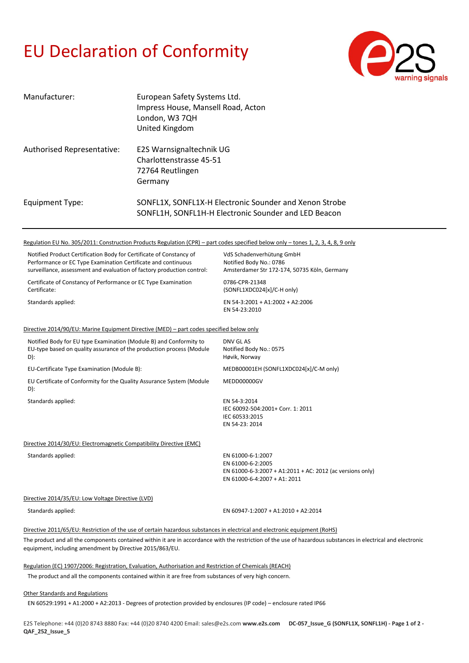## EU Declaration of Conformity



| Manufacturer:              | European Safety Systems Ltd.<br>Impress House, Mansell Road, Acton<br>London, W3 7QH<br>United Kingdom         |
|----------------------------|----------------------------------------------------------------------------------------------------------------|
| Authorised Representative: | E2S Warnsignaltechnik UG<br>Charlottenstrasse 45-51<br>72764 Reutlingen<br>Germany                             |
| Equipment Type:            | SONFL1X, SONFL1X-H Electronic Sounder and Xenon Strobe<br>SONFL1H, SONFL1H-H Electronic Sounder and LED Beacon |

## Regulation EU No. 305/2011: Construction Products Regulation (CPR) – part codes specified below only – tones 1, 2, 3, 4, 8, 9 only

| Notified Product Certification Body for Certificate of Constancy of<br>Performance or EC Type Examination Certificate and continuous<br>surveillance, assessment and evaluation of factory production control: | VdS Schadenverhütung GmbH<br>Notified Body No.: 0786<br>Amsterdamer Str 172-174, 50735 Köln, Germany                                                          |
|----------------------------------------------------------------------------------------------------------------------------------------------------------------------------------------------------------------|---------------------------------------------------------------------------------------------------------------------------------------------------------------|
| Certificate of Constancy of Performance or EC Type Examination<br>Certificate:                                                                                                                                 | 0786-CPR-21348<br>(SONFL1XDC024[x]/C-H only)                                                                                                                  |
| Standards applied:                                                                                                                                                                                             | EN 54-3:2001 + A1:2002 + A2:2006<br>EN 54-23:2010                                                                                                             |
| Directive 2014/90/EU: Marine Equipment Directive (MED) – part codes specified below only                                                                                                                       |                                                                                                                                                               |
| Notified Body for EU type Examination (Module B) and Conformity to<br>EU-type based on quality assurance of the production process (Module<br>D):                                                              | DNV GL AS<br>Notified Body No.: 0575<br>Høvik, Norway                                                                                                         |
| EU-Certificate Type Examination (Module B):                                                                                                                                                                    | MEDB00001EH (SONFL1XDC024[x]/C-M only)                                                                                                                        |
| EU Certificate of Conformity for the Quality Assurance System (Module<br>D):                                                                                                                                   | MEDD00000GV                                                                                                                                                   |
| Standards applied:                                                                                                                                                                                             | EN 54-3:2014<br>IEC 60092-504:2001+ Corr. 1: 2011<br>IEC 60533:2015<br>EN 54-23: 2014                                                                         |
| Directive 2014/30/EU: Electromagnetic Compatibility Directive (EMC)                                                                                                                                            |                                                                                                                                                               |
| Standards applied:                                                                                                                                                                                             | EN 61000-6-1:2007<br>EN 61000-6-2:2005<br>EN 61000-6-3:2007 + A1:2011 + AC: 2012 (ac versions only)<br>EN 61000-6-4:2007 + A1: 2011                           |
| Directive 2014/35/EU: Low Voltage Directive (LVD)                                                                                                                                                              |                                                                                                                                                               |
| Standards applied:                                                                                                                                                                                             | EN 60947-1:2007 + A1:2010 + A2:2014                                                                                                                           |
| Directive 2011/65/EU: Restriction of the use of certain hazardous substances in electrical and electronic equipment (RoHS)                                                                                     |                                                                                                                                                               |
| equipment, including amendment by Directive 2015/863/EU.                                                                                                                                                       | The product and all the components contained within it are in accordance with the restriction of the use of hazardous substances in electrical and electronic |
| Regulation (EC) 1907/2006: Registration, Evaluation, Authorisation and Restriction of Chemicals (REACH)                                                                                                        |                                                                                                                                                               |
| The product and all the components contained within it are free from substances of very high concern.                                                                                                          |                                                                                                                                                               |
| <b>Other Standards and Regulations</b>                                                                                                                                                                         |                                                                                                                                                               |

EN 60529:1991 + A1:2000 + A2:2013 - Degrees of protection provided by enclosures (IP code) – enclosure rated IP66

E2S Telephone: +44 (0)20 8743 8880 Fax: +44 (0)20 8740 4200 Email: sales@e2s.com **www.e2s.com DC-057\_Issue\_G (SONFL1X, SONFL1H) - Page 1 of 2 - QAF\_252\_Issue\_5**